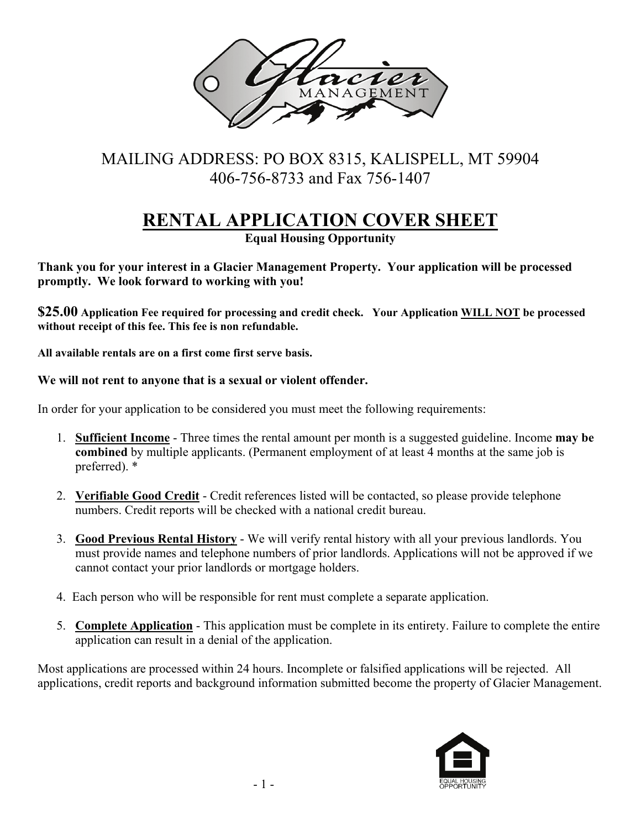

## MAILING ADDRESS: PO BOX 8315, KALISPELL, MT 59904 406-756-8733 and Fax 756-1407

# **RENTAL APPLICATION COVER SHEET**

**Equal Housing Opportunity**

**Thank you for your interest in a Glacier Management Property. Your application will be processed promptly. We look forward to working with you!** 

**\$25.00 Application Fee required for processing and credit check. Your Application WILL NOT be processed without receipt of this fee. This fee is non refundable.** 

**All available rentals are on a first come first serve basis.** 

## **We will not rent to anyone that is a sexual or violent offender.**

In order for your application to be considered you must meet the following requirements:

- 1. **Sufficient Income** Three times the rental amount per month is a suggested guideline. Income **may be combined** by multiple applicants. (Permanent employment of at least 4 months at the same job is preferred). \*
- 2. **Verifiable Good Credit** Credit references listed will be contacted, so please provide telephone numbers. Credit reports will be checked with a national credit bureau.
- 3. **Good Previous Rental History** We will verify rental history with all your previous landlords. You must provide names and telephone numbers of prior landlords. Applications will not be approved if we cannot contact your prior landlords or mortgage holders.
- 4. Each person who will be responsible for rent must complete a separate application.
- 5. **Complete Application** This application must be complete in its entirety. Failure to complete the entire application can result in a denial of the application.

Most applications are processed within 24 hours. Incomplete or falsified applications will be rejected. All applications, credit reports and background information submitted become the property of Glacier Management.

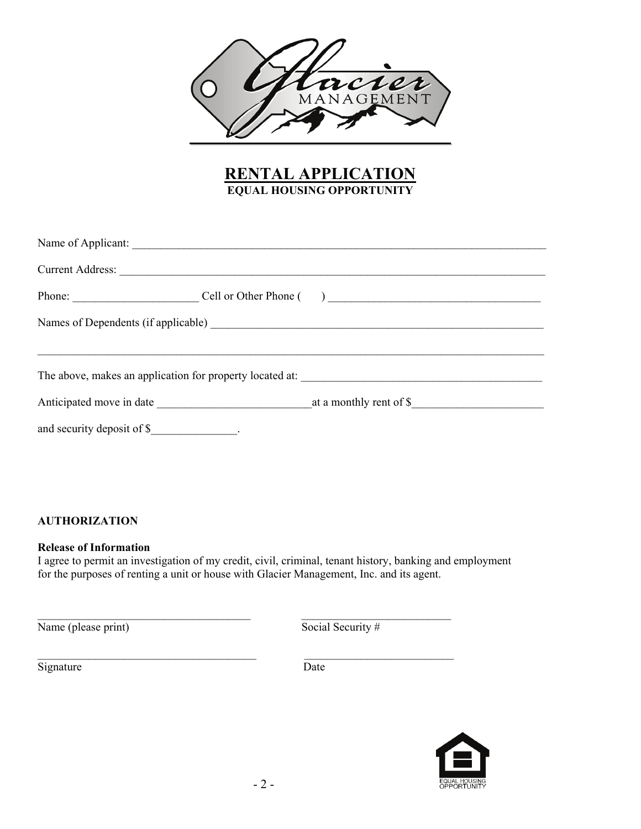

## **RENTAL APPLICATION EQUAL HOUSING OPPORTUNITY**

| Current Address:              |  |  |  |  |
|-------------------------------|--|--|--|--|
| Phone: Cell or Other Phone () |  |  |  |  |
|                               |  |  |  |  |
|                               |  |  |  |  |
|                               |  |  |  |  |
| and security deposit of \$    |  |  |  |  |

#### **AUTHORIZATION**

#### **Release of Information**

I agree to permit an investigation of my credit, civil, criminal, tenant history, banking and employment for the purposes of renting a unit or house with Glacier Management, Inc. and its agent.

\_\_\_\_\_\_\_\_\_\_\_\_\_\_\_\_\_\_\_\_\_\_\_\_\_\_\_\_\_\_\_\_\_\_\_\_\_ \_\_\_\_\_\_\_\_\_\_\_\_\_\_\_\_\_\_\_\_\_\_\_\_\_\_

\_\_\_\_\_\_\_\_\_\_\_\_\_\_\_\_\_\_\_\_\_\_\_\_\_\_\_\_\_\_\_\_\_\_\_\_\_\_ \_\_\_\_\_\_\_\_\_\_\_\_\_\_\_\_\_\_\_\_\_\_\_\_\_\_

Name (please print)  $\overline{\text{Social Security #}}$ 

Signature Date

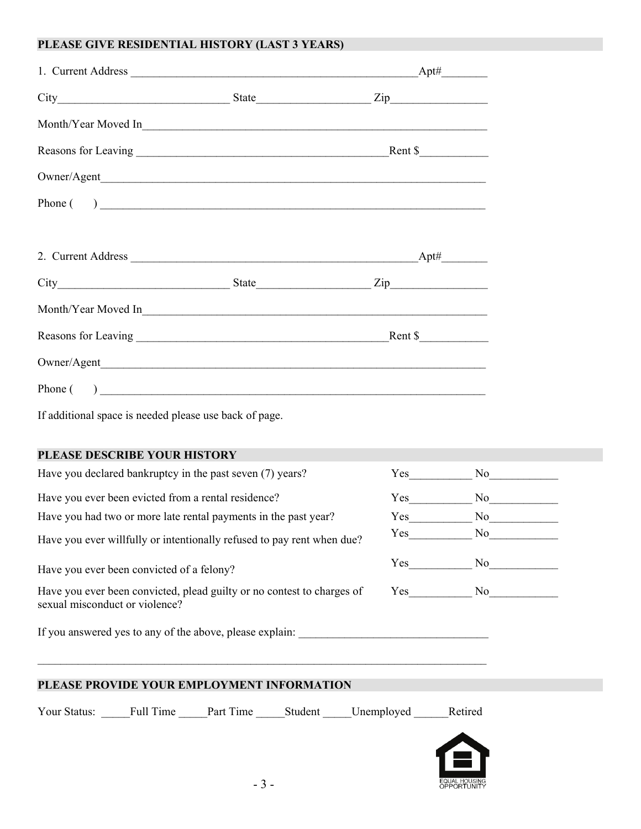#### **PLEASE GIVE RESIDENTIAL HISTORY (LAST 3 YEARS)**

| If additional space is needed please use back of page.    |  |  |
|-----------------------------------------------------------|--|--|
|                                                           |  |  |
| PLEASE DESCRIBE YOUR HISTORY                              |  |  |
| Have you declared bankruptcy in the past seven (7) years? |  |  |

Have you ever been evicted from a rental residence? Yes No

Have you had two or more late rental payments in the past year? Yes No

Have you ever willfully or intentionally refused to pay rent when due? Yes\_\_\_\_\_\_\_\_\_\_\_ No\_\_\_\_\_\_\_\_\_\_\_\_

Have you ever been convicted of a felony? Yes\_\_\_\_\_\_\_\_\_\_\_ No\_\_\_\_\_\_\_\_\_\_\_\_

Have you ever been convicted, plead guilty or no contest to charges of sexual misconduct or violence?

| Yes | No |
|-----|----|
|     |    |

If you answered yes to any of the above, please explain:

## **PLEASE PROVIDE YOUR EMPLOYMENT INFORMATION**

Your Status: Full Time Part Time Student Unemployed Retired



 $\mathcal{L}_\mathcal{L} = \{ \mathcal{L}_\mathcal{L} = \{ \mathcal{L}_\mathcal{L} = \{ \mathcal{L}_\mathcal{L} = \{ \mathcal{L}_\mathcal{L} = \{ \mathcal{L}_\mathcal{L} = \{ \mathcal{L}_\mathcal{L} = \{ \mathcal{L}_\mathcal{L} = \{ \mathcal{L}_\mathcal{L} = \{ \mathcal{L}_\mathcal{L} = \{ \mathcal{L}_\mathcal{L} = \{ \mathcal{L}_\mathcal{L} = \{ \mathcal{L}_\mathcal{L} = \{ \mathcal{L}_\mathcal{L} = \{ \mathcal{L}_\mathcal{$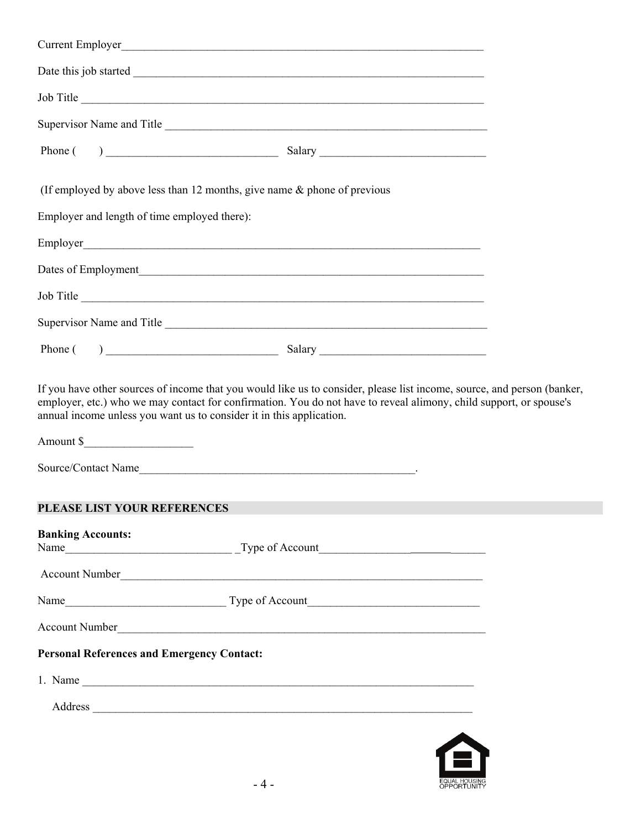|                                                                                             | Job Title                                                                                                                                                                                                                                                                                                                            |  |
|---------------------------------------------------------------------------------------------|--------------------------------------------------------------------------------------------------------------------------------------------------------------------------------------------------------------------------------------------------------------------------------------------------------------------------------------|--|
|                                                                                             |                                                                                                                                                                                                                                                                                                                                      |  |
|                                                                                             |                                                                                                                                                                                                                                                                                                                                      |  |
| (If employed by above less than 12 months, give name & phone of previous                    |                                                                                                                                                                                                                                                                                                                                      |  |
| Employer and length of time employed there):                                                |                                                                                                                                                                                                                                                                                                                                      |  |
|                                                                                             |                                                                                                                                                                                                                                                                                                                                      |  |
|                                                                                             | Dates of Employment                                                                                                                                                                                                                                                                                                                  |  |
|                                                                                             | Job Title                                                                                                                                                                                                                                                                                                                            |  |
|                                                                                             |                                                                                                                                                                                                                                                                                                                                      |  |
|                                                                                             | Phone $($ $)$ $\qquad$ $\qquad$ $\qquad$ $\qquad$ $\qquad$ $\qquad$ $\qquad$ $\qquad$ $\qquad$ $\qquad$ $\qquad$ $\qquad$ $\qquad$ $\qquad$ $\qquad$ $\qquad$ $\qquad$ $\qquad$ $\qquad$ $\qquad$ $\qquad$ $\qquad$ $\qquad$ $\qquad$ $\qquad$ $\qquad$ $\qquad$ $\qquad$ $\qquad$ $\qquad$ $\qquad$ $\qquad$ $\qquad$ $\qquad$ $\q$ |  |
| annual income unless you want us to consider it in this application.<br>Source/Contact Name | If you have other sources of income that you would like us to consider, please list income, source, and person (banker,<br>employer, etc.) who we may contact for confirmation. You do not have to reveal alimony, child support, or spouse's                                                                                        |  |
| PLEASE LIST YOUR REFERENCES                                                                 |                                                                                                                                                                                                                                                                                                                                      |  |
| <b>Banking Accounts:</b>                                                                    |                                                                                                                                                                                                                                                                                                                                      |  |
|                                                                                             | Account Number                                                                                                                                                                                                                                                                                                                       |  |
|                                                                                             |                                                                                                                                                                                                                                                                                                                                      |  |
|                                                                                             | Account Number                                                                                                                                                                                                                                                                                                                       |  |
| <b>Personal References and Emergency Contact:</b>                                           |                                                                                                                                                                                                                                                                                                                                      |  |
|                                                                                             | 1. Name $\overline{\phantom{a}}$                                                                                                                                                                                                                                                                                                     |  |
|                                                                                             | Address                                                                                                                                                                                                                                                                                                                              |  |
|                                                                                             |                                                                                                                                                                                                                                                                                                                                      |  |

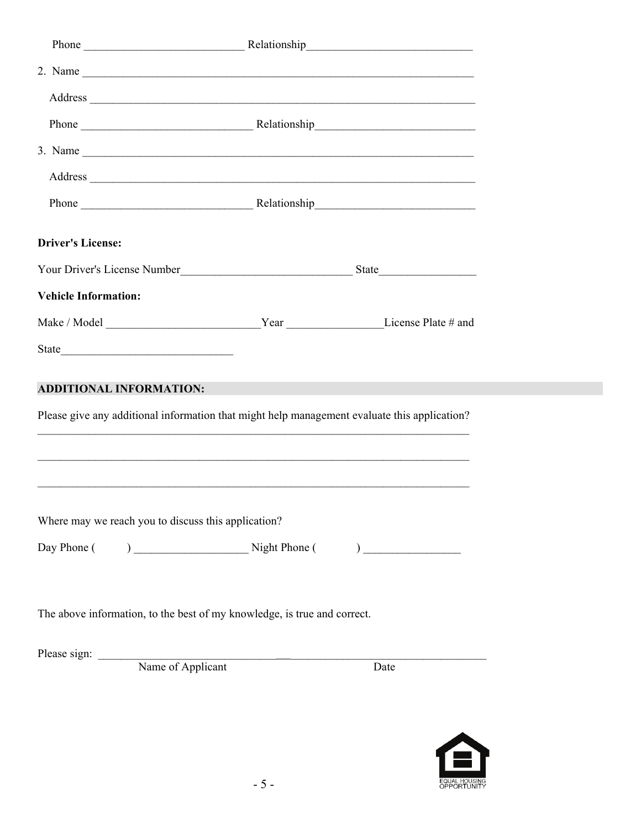| 2. Name $\overline{\phantom{a}}$                                                                                                                                                                                               |      |
|--------------------------------------------------------------------------------------------------------------------------------------------------------------------------------------------------------------------------------|------|
| Address and the contract of the contract of the contract of the contract of the contract of the contract of the contract of the contract of the contract of the contract of the contract of the contract of the contract of th |      |
|                                                                                                                                                                                                                                |      |
| 3. Name $\overline{\phantom{a}}$                                                                                                                                                                                               |      |
| Address experience and the contract of the contract of the contract of the contract of the contract of the contract of the contract of the contract of the contract of the contract of the contract of the contract of the con |      |
|                                                                                                                                                                                                                                |      |
| <b>Driver's License:</b>                                                                                                                                                                                                       |      |
|                                                                                                                                                                                                                                |      |
| <b>Vehicle Information:</b>                                                                                                                                                                                                    |      |
|                                                                                                                                                                                                                                |      |
|                                                                                                                                                                                                                                |      |
| <b>ADDITIONAL INFORMATION:</b><br>Please give any additional information that might help management evaluate this application?                                                                                                 |      |
|                                                                                                                                                                                                                                |      |
| Where may we reach you to discuss this application?                                                                                                                                                                            |      |
| The above information, to the best of my knowledge, is true and correct.                                                                                                                                                       |      |
| Please sign: Name of Applicant                                                                                                                                                                                                 | Date |